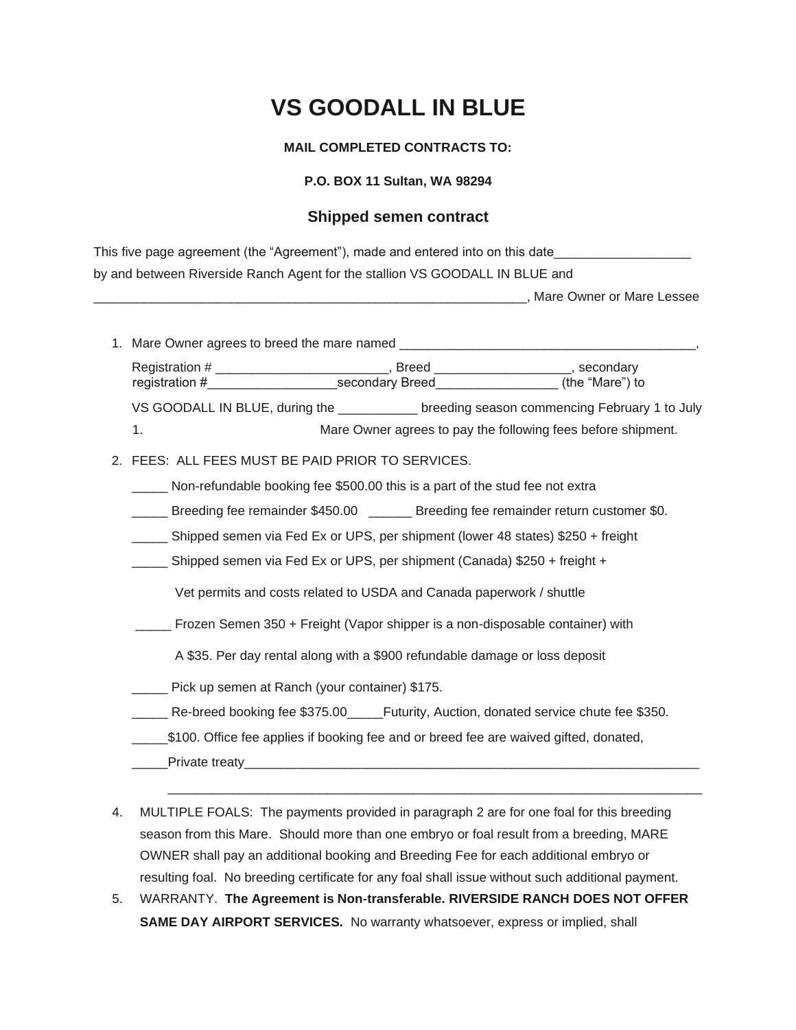# **VS GOODALL IN BLUE**

## **MAIL COMPLETED CONTRACTS TO:**

## **P.O. BOX 11 Sultan, WA 98294**

# **Shipped semen contract**

| This five page agreement (the "Agreement"), made and entered into on this date |  |
|--------------------------------------------------------------------------------|--|
| by and between Riverside Ranch Agent for the stallion VS GOODALL IN BLUE and   |  |

\_\_\_\_\_\_\_\_\_\_\_\_\_\_\_\_\_\_\_\_\_\_\_\_\_\_\_\_\_\_\_\_\_\_\_\_\_\_\_\_\_\_\_\_\_\_\_\_\_\_\_\_\_\_\_\_\_\_\_\_, Mare Owner or Mare Lessee

1. Mare Owner agrees to breed the mare named \_\_\_\_

Registration # \_\_\_\_\_\_\_\_\_\_\_\_\_\_\_\_\_\_\_\_\_\_\_\_\_\_\_, Breed \_\_\_\_\_\_\_\_\_\_\_\_\_\_\_\_\_\_\_\_, secondary registration #\_\_\_\_\_\_\_\_\_\_\_\_\_\_\_\_\_\_secondary Breed\_\_\_\_\_\_\_\_\_\_\_\_\_\_\_\_\_ (the "Mare") to VS GOODALL IN BLUE, during the \_\_\_\_\_\_\_\_\_\_\_ breeding season commencing February 1 to July

1. Mare Owner agrees to pay the following fees before shipment.

#### 2. FEES: ALL FEES MUST BE PAID PRIOR TO SERVICES.

- \_\_\_\_\_ Non-refundable booking fee \$500.00 this is a part of the stud fee not extra
- **\_\_\_\_\_** Breeding fee remainder \$450.00 \_\_\_\_\_ Breeding fee remainder return customer \$0.
- \_\_\_\_\_ Shipped semen via Fed Ex or UPS, per shipment (lower 48 states) \$250 + freight
- \_\_\_\_\_ Shipped semen via Fed Ex or UPS, per shipment (Canada) \$250 + freight +

Vet permits and costs related to USDA and Canada paperwork / shuttle

- \_\_\_\_\_ Frozen Semen 350 + Freight (Vapor shipper is a non-disposable container) with
	- A \$35. Per day rental along with a \$900 refundable damage or loss deposit
- \_\_\_\_\_ Pick up semen at Ranch (your container) \$175.
- Re-breed booking fee \$375.00 Futurity, Auction, donated service chute fee \$350.
- \_\_\_\_\_\$100. Office fee applies if booking fee and or breed fee are waived gifted, donated,
- \_\_\_\_\_Private treaty\_\_\_\_\_\_\_\_\_\_\_\_\_\_\_\_\_\_\_\_\_\_\_\_\_\_\_\_\_\_\_\_\_\_\_\_\_\_\_\_\_\_\_\_\_\_\_\_\_\_\_\_\_\_\_\_\_\_\_\_\_\_\_
- 4. MULTIPLE FOALS: The payments provided in paragraph 2 are for one foal for this breeding season from this Mare. Should more than one embryo or foal result from a breeding, MARE OWNER shall pay an additional booking and Breeding Fee for each additional embryo or resulting foal. No breeding certificate for any foal shall issue without such additional payment.

 $\overline{\phantom{a}}$  ,  $\overline{\phantom{a}}$  ,  $\overline{\phantom{a}}$  ,  $\overline{\phantom{a}}$  ,  $\overline{\phantom{a}}$  ,  $\overline{\phantom{a}}$  ,  $\overline{\phantom{a}}$  ,  $\overline{\phantom{a}}$  ,  $\overline{\phantom{a}}$  ,  $\overline{\phantom{a}}$  ,  $\overline{\phantom{a}}$  ,  $\overline{\phantom{a}}$  ,  $\overline{\phantom{a}}$  ,  $\overline{\phantom{a}}$  ,  $\overline{\phantom{a}}$  ,  $\overline{\phantom{a}}$ 

5. WARRANTY. **The Agreement is Non-transferable. RIVERSIDE RANCH DOES NOT OFFER SAME DAY AIRPORT SERVICES.** No warranty whatsoever, express or implied, shall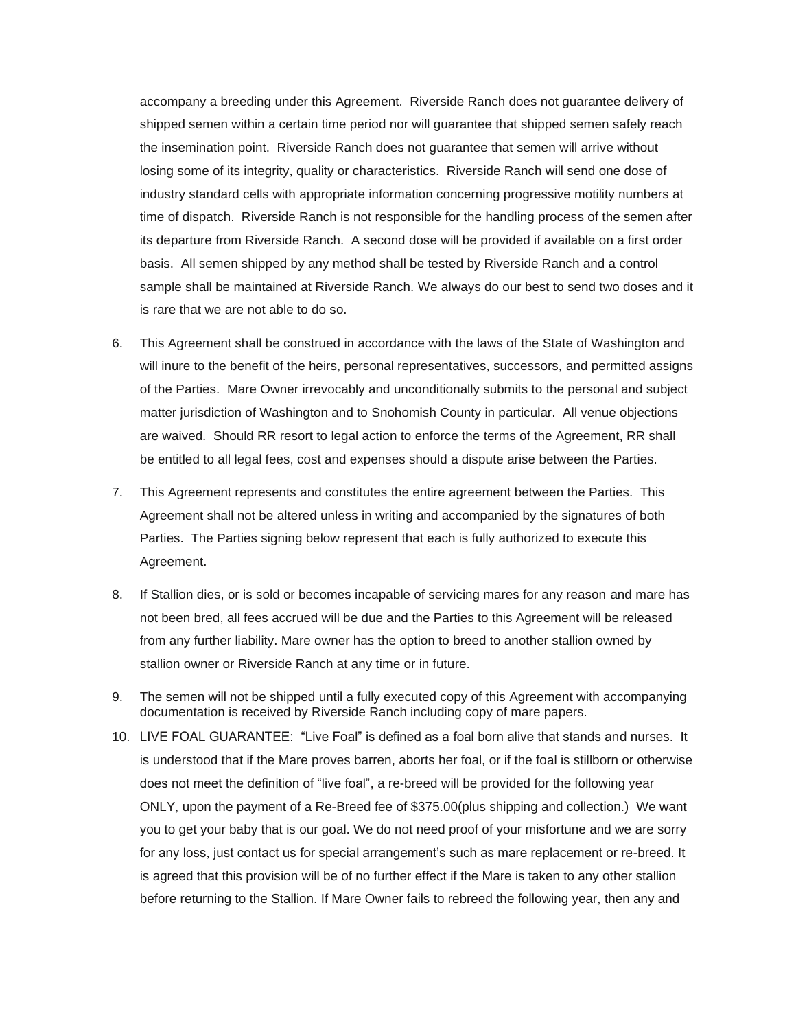accompany a breeding under this Agreement. Riverside Ranch does not guarantee delivery of shipped semen within a certain time period nor will guarantee that shipped semen safely reach the insemination point. Riverside Ranch does not guarantee that semen will arrive without losing some of its integrity, quality or characteristics. Riverside Ranch will send one dose of industry standard cells with appropriate information concerning progressive motility numbers at time of dispatch. Riverside Ranch is not responsible for the handling process of the semen after its departure from Riverside Ranch. A second dose will be provided if available on a first order basis. All semen shipped by any method shall be tested by Riverside Ranch and a control sample shall be maintained at Riverside Ranch. We always do our best to send two doses and it is rare that we are not able to do so.

- 6. This Agreement shall be construed in accordance with the laws of the State of Washington and will inure to the benefit of the heirs, personal representatives, successors, and permitted assigns of the Parties. Mare Owner irrevocably and unconditionally submits to the personal and subject matter jurisdiction of Washington and to Snohomish County in particular. All venue objections are waived. Should RR resort to legal action to enforce the terms of the Agreement, RR shall be entitled to all legal fees, cost and expenses should a dispute arise between the Parties.
- 7. This Agreement represents and constitutes the entire agreement between the Parties. This Agreement shall not be altered unless in writing and accompanied by the signatures of both Parties. The Parties signing below represent that each is fully authorized to execute this Agreement.
- 8. If Stallion dies, or is sold or becomes incapable of servicing mares for any reason and mare has not been bred, all fees accrued will be due and the Parties to this Agreement will be released from any further liability. Mare owner has the option to breed to another stallion owned by stallion owner or Riverside Ranch at any time or in future.
- 9. The semen will not be shipped until a fully executed copy of this Agreement with accompanying documentation is received by Riverside Ranch including copy of mare papers.
- 10. LIVE FOAL GUARANTEE: "Live Foal" is defined as a foal born alive that stands and nurses. It is understood that if the Mare proves barren, aborts her foal, or if the foal is stillborn or otherwise does not meet the definition of "live foal", a re-breed will be provided for the following year ONLY, upon the payment of a Re-Breed fee of \$375.00(plus shipping and collection.) We want you to get your baby that is our goal. We do not need proof of your misfortune and we are sorry for any loss, just contact us for special arrangement's such as mare replacement or re-breed. It is agreed that this provision will be of no further effect if the Mare is taken to any other stallion before returning to the Stallion. If Mare Owner fails to rebreed the following year, then any and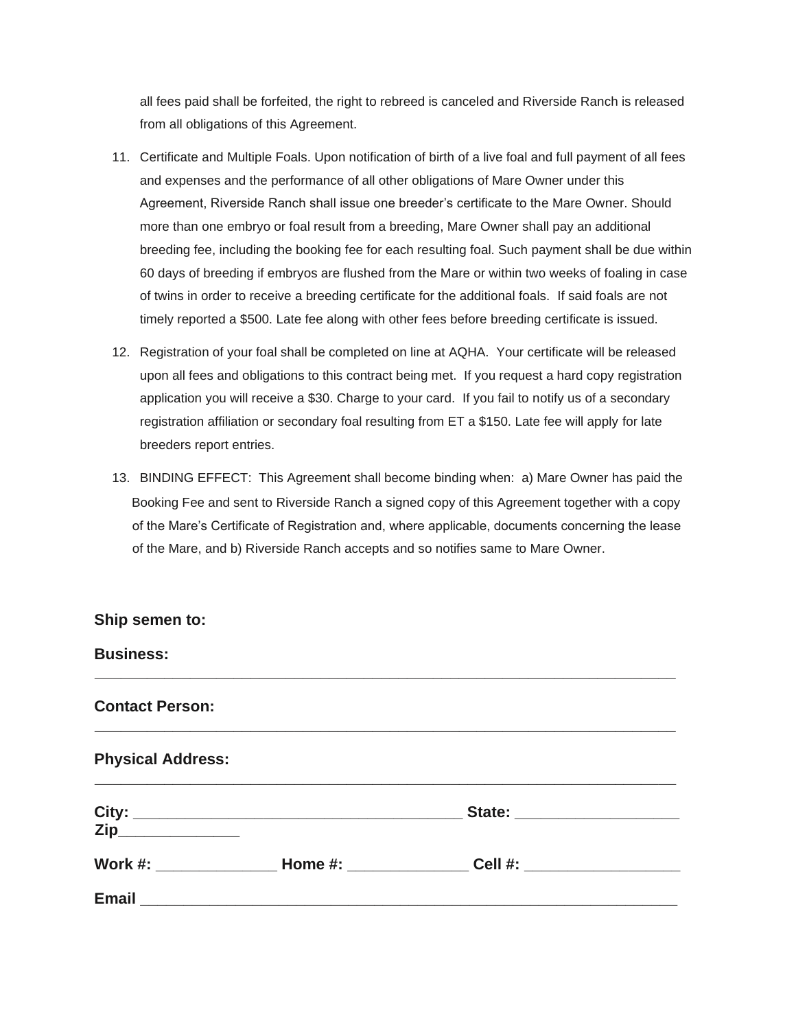all fees paid shall be forfeited, the right to rebreed is canceled and Riverside Ranch is released from all obligations of this Agreement.

- 11. Certificate and Multiple Foals. Upon notification of birth of a live foal and full payment of all fees and expenses and the performance of all other obligations of Mare Owner under this Agreement, Riverside Ranch shall issue one breeder's certificate to the Mare Owner. Should more than one embryo or foal result from a breeding, Mare Owner shall pay an additional breeding fee, including the booking fee for each resulting foal. Such payment shall be due within 60 days of breeding if embryos are flushed from the Mare or within two weeks of foaling in case of twins in order to receive a breeding certificate for the additional foals. If said foals are not timely reported a \$500. Late fee along with other fees before breeding certificate is issued.
- 12. Registration of your foal shall be completed on line at AQHA. Your certificate will be released upon all fees and obligations to this contract being met. If you request a hard copy registration application you will receive a \$30. Charge to your card. If you fail to notify us of a secondary registration affiliation or secondary foal resulting from ET a \$150. Late fee will apply for late breeders report entries.
- 13. BINDING EFFECT: This Agreement shall become binding when: a) Mare Owner has paid the Booking Fee and sent to Riverside Ranch a signed copy of this Agreement together with a copy of the Mare's Certificate of Registration and, where applicable, documents concerning the lease of the Mare, and b) Riverside Ranch accepts and so notifies same to Mare Owner.

| Ship semen to:           |                            |  |
|--------------------------|----------------------------|--|
| <b>Business:</b>         |                            |  |
| <b>Contact Person:</b>   |                            |  |
| <b>Physical Address:</b> |                            |  |
| Zip______________        |                            |  |
|                          | Cell #: __________________ |  |
|                          |                            |  |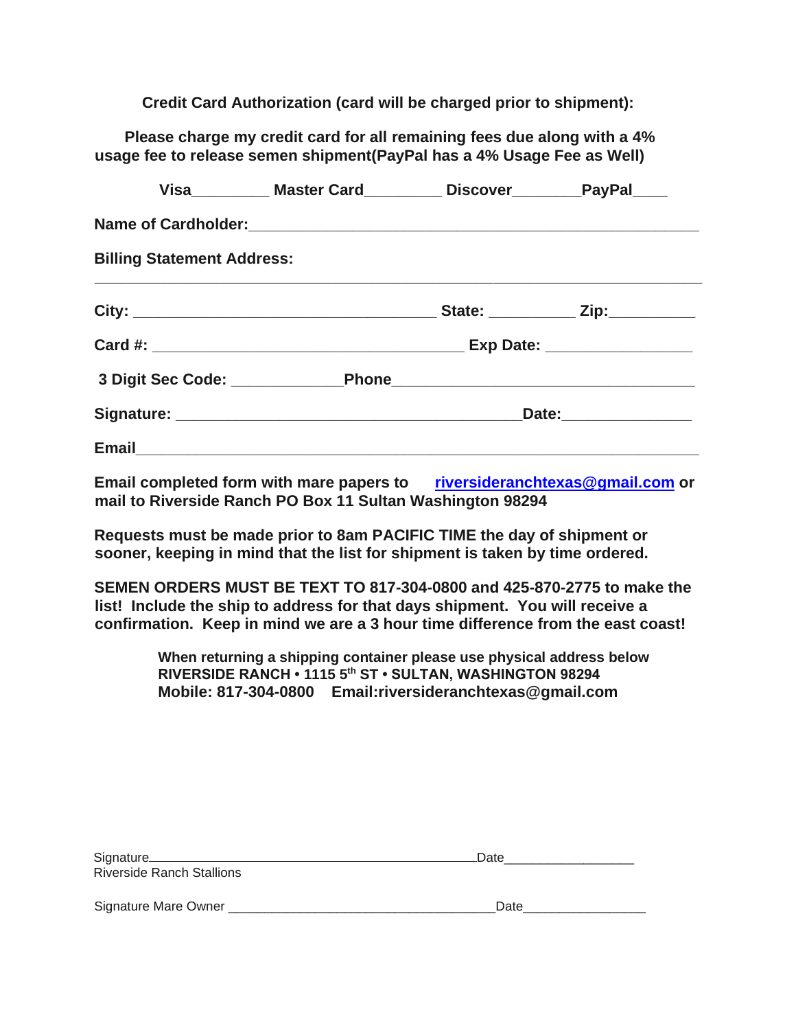**Credit Card Authorization (card will be charged prior to shipment):** 

 **Please charge my credit card for all remaining fees due along with a 4% usage fee to release semen shipment(PayPal has a 4% Usage Fee as Well)**

|                                                                                  | Visa___________ Master Card___________ Discover__________PayPal_____ |  |                                     |
|----------------------------------------------------------------------------------|----------------------------------------------------------------------|--|-------------------------------------|
|                                                                                  |                                                                      |  |                                     |
| <b>Billing Statement Address:</b>                                                |                                                                      |  |                                     |
|                                                                                  |                                                                      |  | State: _____________ Zip:__________ |
|                                                                                  |                                                                      |  | Exp Date: __________________        |
| 3 Digit Sec Code: ______________________Phone___________________________________ |                                                                      |  |                                     |
|                                                                                  |                                                                      |  |                                     |
|                                                                                  |                                                                      |  |                                     |

**Email completed form with mare papers to [riversideranchtexas@gmail.com](mailto:riversideranchtexas@gmail.com) or mail to Riverside Ranch PO Box 11 Sultan Washington 98294** 

**Requests must be made prior to 8am PACIFIC TIME the day of shipment or sooner, keeping in mind that the list for shipment is taken by time ordered.** 

**SEMEN ORDERS MUST BE TEXT TO 817-304-0800 and 425-870-2775 to make the list! Include the ship to address for that days shipment. You will receive a confirmation. Keep in mind we are a 3 hour time difference from the east coast!**

> **When returning a shipping container please use physical address below RIVERSIDE RANCH • 1115 5th ST • SULTAN, WASHINGTON 98294 Mobile: 817-304-0800 Email:riversideranchtexas@gmail.com**

| Signature <sub>____________</sub><br><b>Riverside Ranch Stallions</b> | Date |
|-----------------------------------------------------------------------|------|
| Signature Mare Owner                                                  | Date |